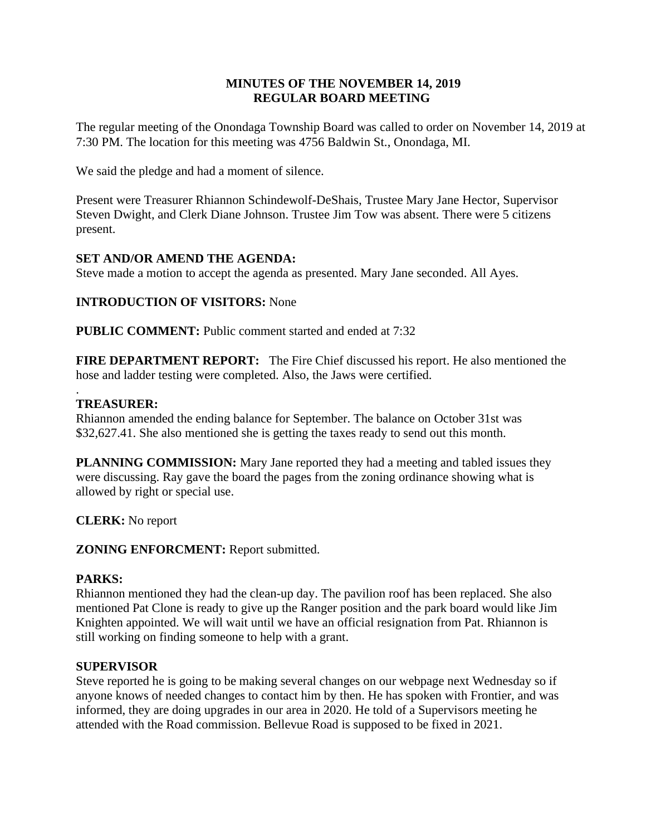# **MINUTES OF THE NOVEMBER 14, 2019 REGULAR BOARD MEETING**

The regular meeting of the Onondaga Township Board was called to order on November 14, 2019 at 7:30 PM. The location for this meeting was 4756 Baldwin St., Onondaga, MI.

We said the pledge and had a moment of silence.

Present were Treasurer Rhiannon Schindewolf-DeShais, Trustee Mary Jane Hector, Supervisor Steven Dwight, and Clerk Diane Johnson. Trustee Jim Tow was absent. There were 5 citizens present.

# **SET AND/OR AMEND THE AGENDA:**

Steve made a motion to accept the agenda as presented. Mary Jane seconded. All Ayes.

# **INTRODUCTION OF VISITORS:** None

**PUBLIC COMMENT:** Public comment started and ended at 7:32

**FIRE DEPARTMENT REPORT:** The Fire Chief discussed his report. He also mentioned the hose and ladder testing were completed. Also, the Jaws were certified.

## **TREASURER:**

.

Rhiannon amended the ending balance for September. The balance on October 31st was \$32,627.41. She also mentioned she is getting the taxes ready to send out this month.

**PLANNING COMMISSION:** Mary Jane reported they had a meeting and tabled issues they were discussing. Ray gave the board the pages from the zoning ordinance showing what is allowed by right or special use.

**CLERK:** No report

**ZONING ENFORCMENT:** Report submitted.

### **PARKS:**

Rhiannon mentioned they had the clean-up day. The pavilion roof has been replaced. She also mentioned Pat Clone is ready to give up the Ranger position and the park board would like Jim Knighten appointed. We will wait until we have an official resignation from Pat. Rhiannon is still working on finding someone to help with a grant.

## **SUPERVISOR**

Steve reported he is going to be making several changes on our webpage next Wednesday so if anyone knows of needed changes to contact him by then. He has spoken with Frontier, and was informed, they are doing upgrades in our area in 2020. He told of a Supervisors meeting he attended with the Road commission. Bellevue Road is supposed to be fixed in 2021.